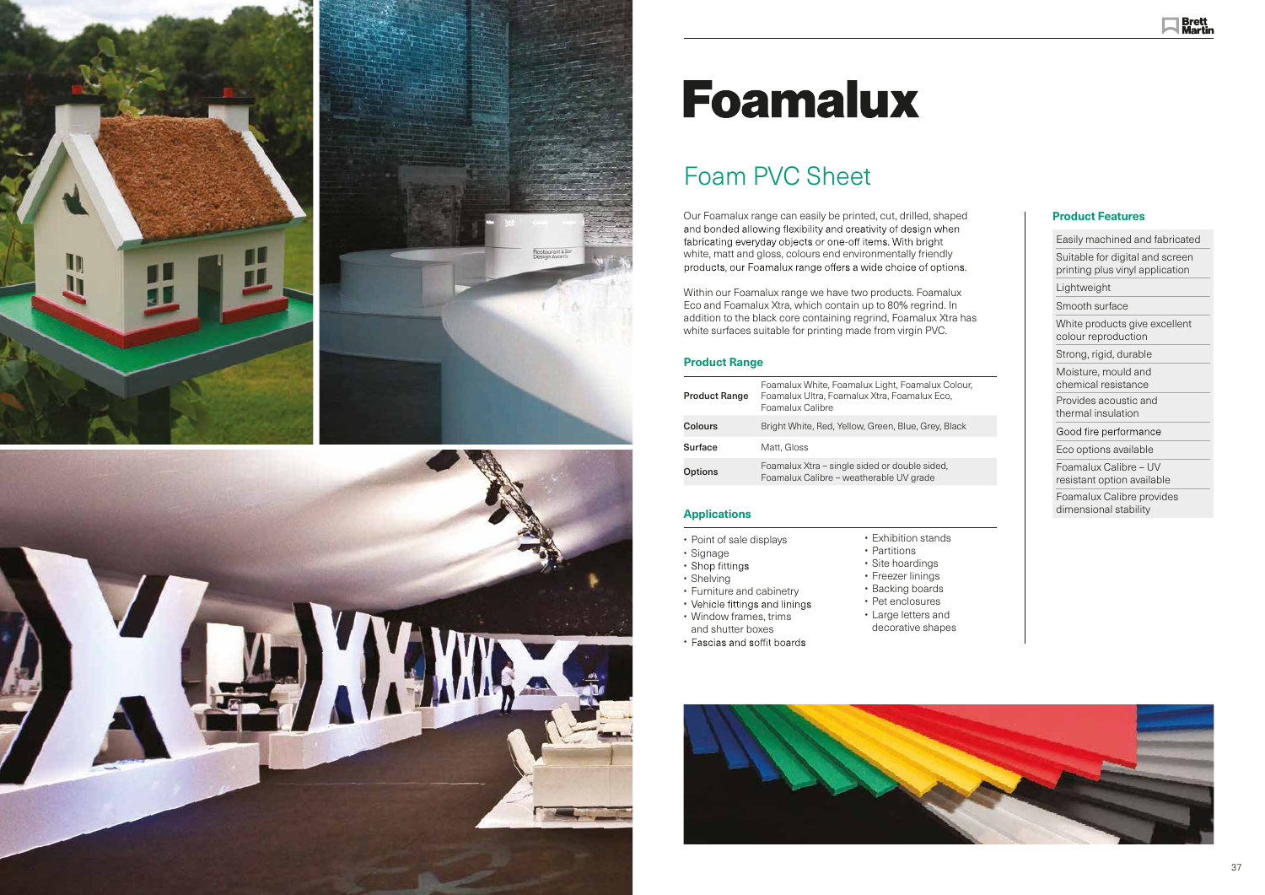





# **Foamalux**

### Foam PVC Sheet

Our Foamalux range can easily be printed, cut, drilled, shaped fabricating everyday objects or one-off items. With bright white, matt and gloss, colours end environmentally friendly

Within our Foamalux range we have two products. Foamalux Eco and Foamalux Xtra, which contain up to 80% regrind. In addition to the black core containing regrind, Foamalux Xtra has white surfaces suitable for printing made from virgin PVC.

#### **Product Range**

| Easily machined and fabricated                                     |
|--------------------------------------------------------------------|
| Suitable for digital and screen<br>printing plus vinyl application |
| Lightweight                                                        |
| Smooth surface                                                     |
| White products give excellent<br>colour reproduction               |
| Strong, rigid, durable                                             |
| Moisture, mould and<br>chemical resistance                         |
| Provides acoustic and<br>thermal insulation                        |
| Good fire performance                                              |
| Eco options available                                              |
| Foamalux Calibre – UV<br>resistant option available                |
| Foamalux Calibre provides<br>dimensional stability                 |

| <b>Product Range</b> | Foamalux White, Foamalux Light, Foamalux Colour,<br>Foamalux Ultra, Foamalux Xtra, Foamalux Eco,<br>Foamalux Calibre |
|----------------------|----------------------------------------------------------------------------------------------------------------------|
| <b>Colours</b>       | Bright White, Red, Yellow, Green, Blue, Grey, Black                                                                  |
| <b>Surface</b>       | Matt. Gloss                                                                                                          |
| <b>Options</b>       | Foamalux Xtra – single sided or double sided,<br>Foamalux Calibre – weatherable UV grade                             |

#### **Applications**

#### • Point of sale displays

- 
- Signage<br>• Shop fittings
- Shelving
- Furniture and cabinetry
- 
- Vehicle fittings and lini<br>• Window frames, trims
- and shutter boxes
- Fascias and soffit boards
- Exhibition stands • Partitions
- Site hoardings
- Freezer linings
- Backing boards
- Pet enclosures
- 
- Large letters and decorative shape s
- 





#### **Product Features**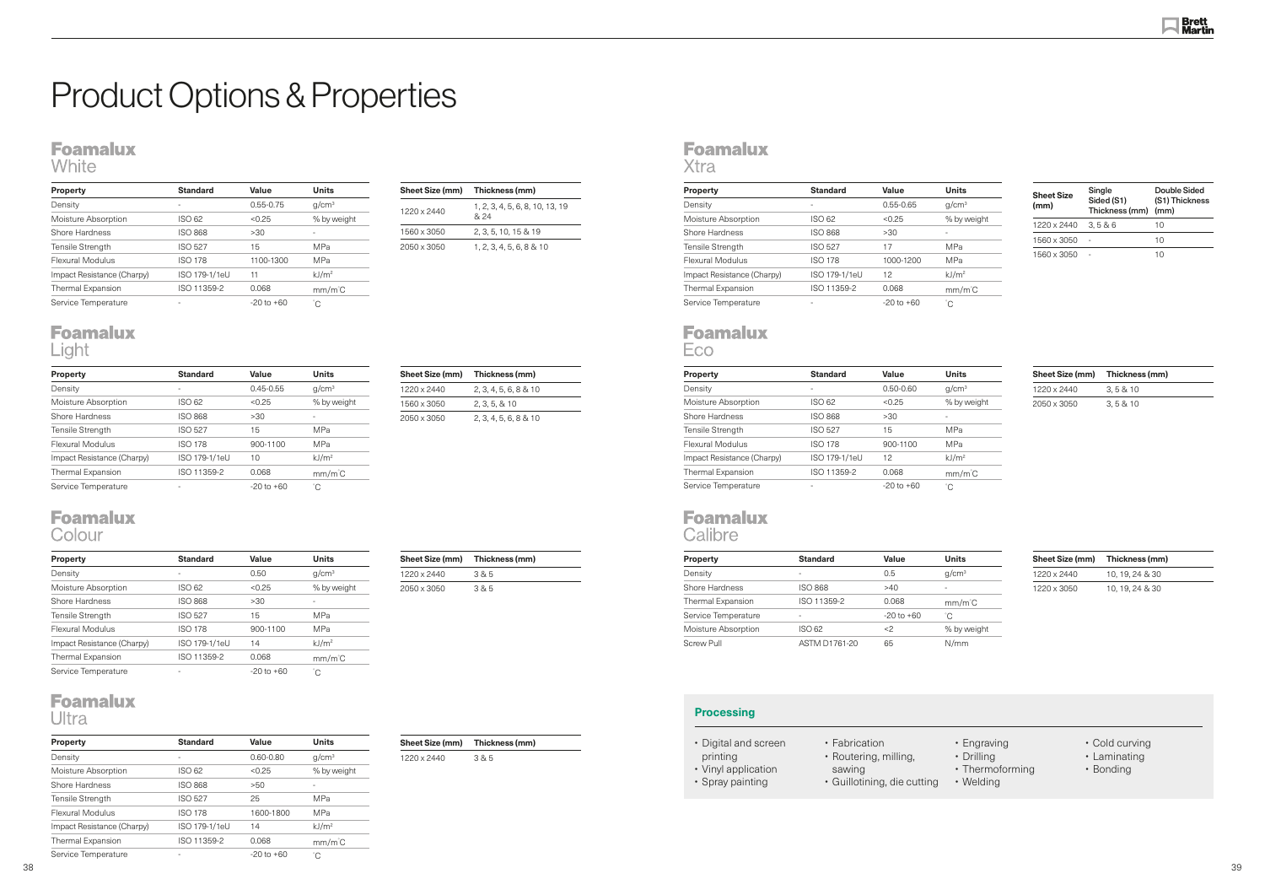## Product Options & Properties

### **Foamalux**

White

| Sheet Size (mm) | Thickness (mm)                          |  |  |
|-----------------|-----------------------------------------|--|--|
| 1220 x 2440     | 1, 2, 3, 4, 5, 6, 8, 10, 13, 19<br>& 24 |  |  |
| 1560 x 3050     | 2, 3, 5, 10, 15 & 19                    |  |  |
| 2050 x 3050     | 1, 2, 3, 4, 5, 6, 8, 8, 10              |  |  |

| Sheet Size (mm) | Thickness (mm)        |
|-----------------|-----------------------|
| 1220 x 2440     | 2, 3, 4, 5, 6, 8 & 10 |
| 1560 x 3050     | 2, 3, 5, 8, 10        |
| 2050 x 3050     | 2, 3, 4, 5, 6, 8 & 10 |

| Sheet Size (mm) | Thickness (mm) |
|-----------------|----------------|
| 1220 x 2440     | 385            |
| 2050 x 3050     | 385            |

**Sheet Size (mm) Thickness (mm)**

1220 x 2440 3 & 5

#### **Foamalux** Xtra

| <b>Sheet Size</b><br>(mm) | Single<br>Sided (S1)<br>Thickness (mm) (mm) | Double Sided<br>(S1) Thickness |  |
|---------------------------|---------------------------------------------|--------------------------------|--|
| 1220 x 2440               | 3, 586                                      | 10                             |  |
| 1560 x 3050               |                                             | 10                             |  |
| 1560 x 3050               |                                             | 10                             |  |

| <b>Property</b>            | <b>Standard</b>          | Value          | <b>Units</b>      |
|----------------------------|--------------------------|----------------|-------------------|
| Density                    | $\overline{\phantom{a}}$ | $0.45 - 0.55$  | q/cm <sup>3</sup> |
| Moisture Absorption        | ISO 62                   | < 0.25         | % by weight       |
| Shore Hardness             | <b>ISO 868</b>           | >30            |                   |
| <b>Tensile Strength</b>    | <b>ISO 527</b>           | 15             | <b>MPa</b>        |
| Flexural Modulus           | <b>ISO 178</b>           | 900-1100       | <b>MPa</b>        |
| Impact Resistance (Charpy) | ISO 179-1/1eU            | 10             | kJ/m <sup>2</sup> |
| <b>Thermal Expansion</b>   | ISO 11359-2              | 0.068          | $mm/m^{\circ}C$   |
| Service Temperature        |                          | $-20$ to $+60$ | °C                |

#### **Foamalux** Colour

| <b>Property</b>            | <b>Standard</b> | Value          | <b>Units</b>      |
|----------------------------|-----------------|----------------|-------------------|
| Density                    | ۰               | $0.55 - 0.75$  | q/cm <sup>3</sup> |
| Moisture Absorption        | ISO 62          | < 0.25         | % by weight       |
| Shore Hardness             | <b>ISO 868</b>  | >30            |                   |
| <b>Tensile Strength</b>    | <b>ISO 527</b>  | 15             | <b>MPa</b>        |
| Flexural Modulus           | <b>ISO 178</b>  | 1100-1300      | <b>MPa</b>        |
| Impact Resistance (Charpy) | ISO 179-1/1eU   | 11             | kJ/m <sup>2</sup> |
| <b>Thermal Expansion</b>   | ISO 11359-2     | 0.068          | $mm/m^{\circ}C$   |
| Service Temperature        | -               | $-20$ to $+60$ | °С                |

#### **Foamalux** Light

| <b>Property</b>            | <b>Standard</b> | Value          | <b>Units</b>      |
|----------------------------|-----------------|----------------|-------------------|
| Density                    | -               | 0.50           | q/cm <sup>3</sup> |
| Moisture Absorption        | ISO 62          | < 0.25         | % by weight       |
| Shore Hardness             | <b>ISO 868</b>  | >30            |                   |
| <b>Tensile Strength</b>    | <b>ISO 527</b>  | 15             | <b>MPa</b>        |
| Flexural Modulus           | <b>ISO 178</b>  | 900-1100       | <b>MPa</b>        |
| Impact Resistance (Charpy) | ISO 179-1/1eU   | 14             | kJ/m <sup>2</sup> |
| Thermal Expansion          | ISO 11359-2     | 0.068          | $mm/m^{\circ}C$   |
| Service Temperature        |                 | $-20$ to $+60$ | °C                |

#### **Foamalux** Ultra

| <b>Property</b>            | <b>Standard</b> | Value          | <b>Units</b>      | Sheet Size (mm) | Thickness (mm) |  |
|----------------------------|-----------------|----------------|-------------------|-----------------|----------------|--|
| Density                    |                 | $0.50 - 0.60$  | q/cm <sup>3</sup> | 1220 x 2440     | 3, 5 & 10      |  |
| Moisture Absorption        | <b>ISO 62</b>   | < 0.25         | % by weight       | 2050 x 3050     | 3, 5 & 10      |  |
| Shore Hardness             | <b>ISO 868</b>  | >30            |                   |                 |                |  |
| Tensile Strength           | <b>ISO 527</b>  | 15             | <b>MPa</b>        |                 |                |  |
| Flexural Modulus           | <b>ISO 178</b>  | 900-1100       | <b>MPa</b>        |                 |                |  |
| Impact Resistance (Charpy) | ISO 179-1/1eU   | 12             | kJ/m <sup>2</sup> |                 |                |  |
| <b>Thermal Expansion</b>   | ISO 11359-2     | 0.068          | $mm/m^{\circ}C$   |                 |                |  |
| Service Temperature        |                 | $-20$ to $+60$ | °С                |                 |                |  |

#### **Foamalux** Calibre

| ------              |                          |                |                   |                 |                 |  |
|---------------------|--------------------------|----------------|-------------------|-----------------|-----------------|--|
| <b>Property</b>     | <b>Standard</b>          | Value          | <b>Units</b>      | Sheet Size (mm) | Thickness (mm)  |  |
| Density             | $\overline{\phantom{a}}$ | 0.5            | q/cm <sup>3</sup> | 1220 x 2440     | 10, 19, 24 & 30 |  |
| Shore Hardness      | <b>ISO 868</b>           | >40            |                   | 1220 x 3050     | 10, 19, 24 & 30 |  |
| Thermal Expansion   | ISO 11359-2              | 0.068          | $mm/m^{\circ}C$   |                 |                 |  |
| Service Temperature | -                        | $-20$ to $+60$ | °С                |                 |                 |  |
| Moisture Absorption | <b>ISO 62</b>            | $<$ 2          | % by weight       |                 |                 |  |
| Screw Pull          | ASTM D1761-20            | 65             | N/mm              |                 |                 |  |

| <b>Property</b>            | <b>Standard</b> | Value          | <b>Units</b>      |
|----------------------------|-----------------|----------------|-------------------|
| Density                    | -               | $0.60 - 0.80$  | q/cm <sup>3</sup> |
| Moisture Absorption        | ISO 62          | < 0.25         | % by weight       |
| Shore Hardness             | <b>ISO 868</b>  | >50            | ٠                 |
| <b>Tensile Strength</b>    | <b>ISO 527</b>  | 25             | <b>MPa</b>        |
| Flexural Modulus           | <b>ISO 178</b>  | 1600-1800      | <b>MPa</b>        |
| Impact Resistance (Charpy) | ISO 179-1/1eU   | 14             | kJ/m <sup>2</sup> |
| <b>Thermal Expansion</b>   | ISO 11359-2     | 0.068          | $mm/m^{\circ}C$   |
| Service Temperature        |                 | $-20$ to $+60$ | °C                |

| <b>Property</b>            | <b>Standard</b> | Value          | <b>Units</b>      |
|----------------------------|-----------------|----------------|-------------------|
| Density                    |                 | $0.55 - 0.65$  | q/cm <sup>3</sup> |
| Moisture Absorption        | ISO 62          | < 0.25         | % by weight       |
| Shore Hardness             | <b>ISO 868</b>  | >30            |                   |
| <b>Tensile Strength</b>    | <b>ISO 527</b>  | 17             | <b>MPa</b>        |
| Flexural Modulus           | <b>ISO 178</b>  | 1000-1200      | <b>MPa</b>        |
| Impact Resistance (Charpy) | ISO 179-1/1eU   | 12             | kJ/m <sup>2</sup> |
| <b>Thermal Expansion</b>   | ISO 11359-2     | 0.068          | $mm/m^{\circ}C$   |
| Service Temperature        |                 | $-20$ to $+60$ | °С                |
|                            |                 |                |                   |

#### **Foamalux** Eco

#### **Processing**



- Engraving
- Drilling
- Thermoforming
- Welding
- Cold curving
- Laminating
- Bonding